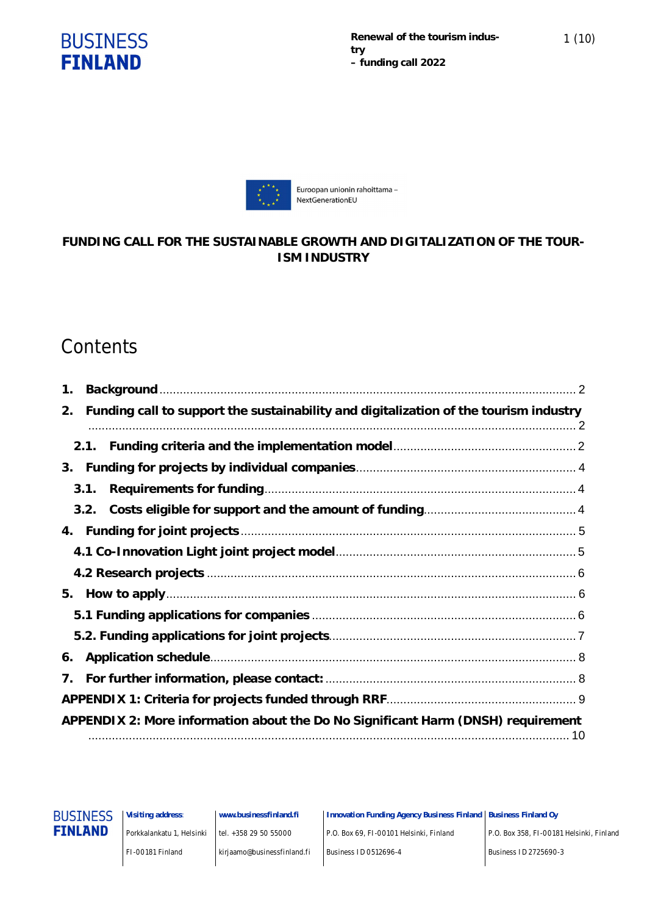



## **FUNDING CALL FOR THE SUSTAINABLE GROWTH AND DIGITALIZATION OF THE TOUR-ISM INDUSTRY**

# **Contents**

| 1.                                                                                          |
|---------------------------------------------------------------------------------------------|
| Funding call to support the sustainability and digitalization of the tourism industry<br>2. |
| 2.1.                                                                                        |
| 3.                                                                                          |
| 3.1.                                                                                        |
| 3.2.                                                                                        |
| 4.                                                                                          |
|                                                                                             |
|                                                                                             |
| 5.                                                                                          |
|                                                                                             |
|                                                                                             |
| 6.                                                                                          |
| 7.                                                                                          |
|                                                                                             |
| APPENDIX 2: More information about the Do No Significant Harm (DNSH) requirement            |



**Visiting address**: Porkkalankatu 1, Helsinki

**www.businessfinland.fi** tel. +358 29 50 55000

**Innovation Funding Agency Business Finland Business Finland Oy**

P.O. Box 69, FI-00101 Helsinki, Finland

FI-00181 Finland

kirjaamo@businessfinland.fi

Business ID 0512696-4

P.O. Box 358, FI-00181 Helsinki, Finland

Business ID 2725690-3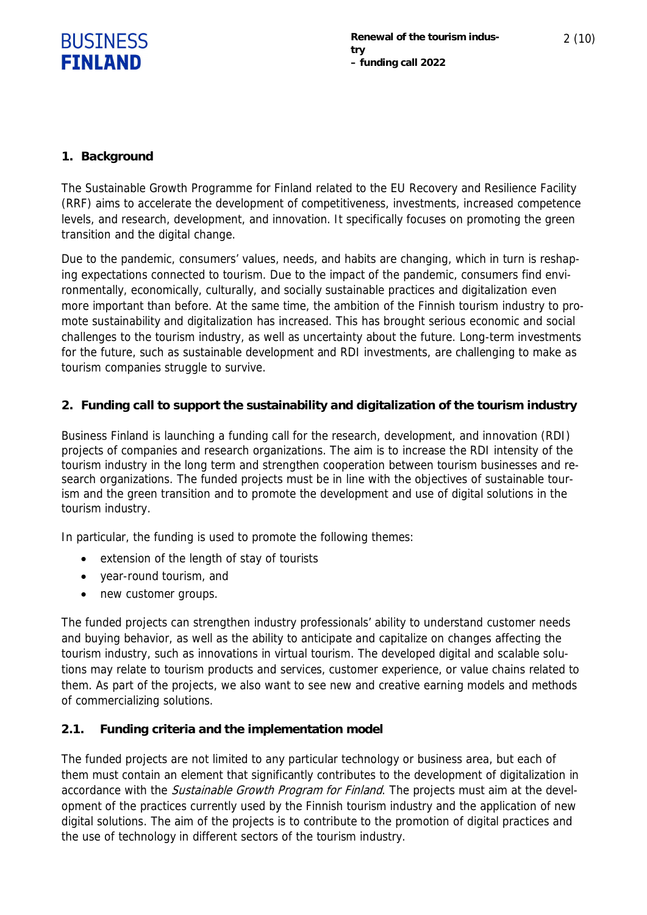

### **1. Background**

The Sustainable Growth Programme for Finland related to the EU Recovery and Resilience Facility (RRF) aims to accelerate the development of competitiveness, investments, increased competence levels, and research, development, and innovation. It specifically focuses on promoting the green transition and the digital change.

Due to the pandemic, consumers' values, needs, and habits are changing, which in turn is reshaping expectations connected to tourism. Due to the impact of the pandemic, consumers find environmentally, economically, culturally, and socially sustainable practices and digitalization even more important than before. At the same time, the ambition of the Finnish tourism industry to promote sustainability and digitalization has increased. This has brought serious economic and social challenges to the tourism industry, as well as uncertainty about the future. Long-term investments for the future, such as sustainable development and RDI investments, are challenging to make as tourism companies struggle to survive.

**2. Funding call to support the sustainability and digitalization of the tourism industry**

Business Finland is launching a funding call for the research, development, and innovation (RDI) projects of companies and research organizations. The aim is to increase the RDI intensity of the tourism industry in the long term and strengthen cooperation between tourism businesses and research organizations. The funded projects must be in line with the objectives of sustainable tourism and the green transition and to promote the development and use of digital solutions in the tourism industry.

In particular, the funding is used to promote the following themes:

- extension of the length of stay of tourists
- year-round tourism, and
- new customer groups.

The funded projects can strengthen industry professionals' ability to understand customer needs and buying behavior, as well as the ability to anticipate and capitalize on changes affecting the tourism industry, such as innovations in virtual tourism. The developed digital and scalable solutions may relate to tourism products and services, customer experience, or value chains related to them. As part of the projects, we also want to see new and creative earning models and methods of commercializing solutions.

#### **2.1. Funding criteria and the implementation model**

The funded projects are not limited to any particular technology or business area, but each of them must contain an element that significantly contributes to the development of digitalization in accordance with the *Sustainable Growth Program for Finland*. The projects must aim at the development of the practices currently used by the Finnish tourism industry and the application of new digital solutions. The aim of the projects is to contribute to the promotion of digital practices and the use of technology in different sectors of the tourism industry.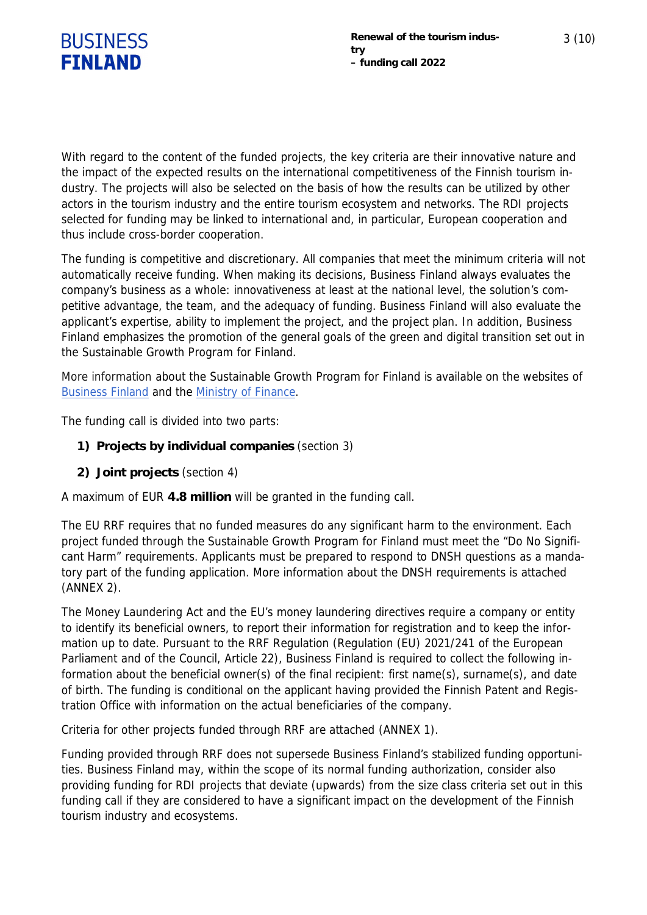

With regard to the content of the funded projects, the key criteria are their innovative nature and the impact of the expected results on the international competitiveness of the Finnish tourism industry. The projects will also be selected on the basis of how the results can be utilized by other actors in the tourism industry and the entire tourism ecosystem and networks. The RDI projects selected for funding may be linked to international and, in particular, European cooperation and thus include cross-border cooperation.

The funding is competitive and discretionary. All companies that meet the minimum criteria will not automatically receive funding. When making its decisions, Business Finland always evaluates the company's business as a whole: innovativeness at least at the national level, the solution's competitive advantage, the team, and the adequacy of funding. Business Finland will also evaluate the applicant's expertise, ability to implement the project, and the project plan. In addition, Business Finland emphasizes the promotion of the general goals of the green and digital transition set out in the Sustainable Growth Program for Finland.

More information about the Sustainable Growth Program for Finland is available on the websites of Business Finland and the Ministry of Finance.

The funding call is divided into two parts:

- **1) Projects by individual companies** (section 3)
- **2) Joint projects** (section 4)

A maximum of EUR **4.8 million** will be granted in the funding call.

The EU RRF requires that no funded measures do any significant harm to the environment. Each project funded through the Sustainable Growth Program for Finland must meet the "Do No Significant Harm" requirements. Applicants must be prepared to respond to DNSH questions as a mandatory part of the funding application. More information about the DNSH requirements is attached (ANNEX 2).

The Money Laundering Act and the EU's money laundering directives require a company or entity to identify its beneficial owners, to report their information for registration and to keep the information up to date. Pursuant to the RRF Regulation (Regulation (EU) 2021/241 of the European Parliament and of the Council, Article 22), Business Finland is required to collect the following information about the beneficial owner(s) of the final recipient: first name(s), surname(s), and date of birth. The funding is conditional on the applicant having provided the Finnish Patent and Registration Office with information on the actual beneficiaries of the company.

Criteria for other projects funded through RRF are attached (ANNEX 1).

Funding provided through RRF does not supersede Business Finland's stabilized funding opportunities. Business Finland may, within the scope of its normal funding authorization, consider also providing funding for RDI projects that deviate (upwards) from the size class criteria set out in this funding call if they are considered to have a significant impact on the development of the Finnish tourism industry and ecosystems.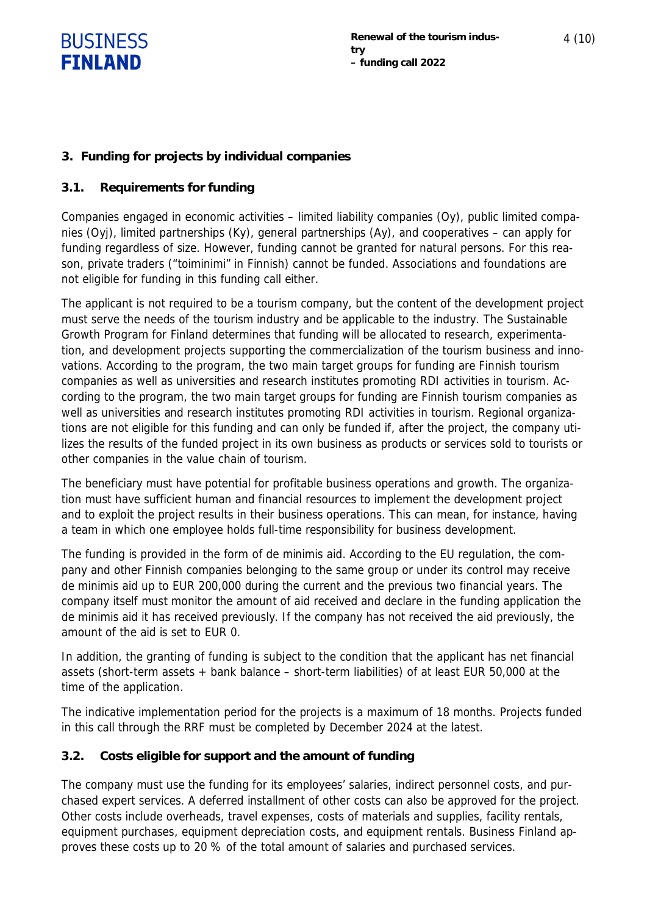

#### **3. Funding for projects by individual companies**

#### **3.1. Requirements for funding**

Companies engaged in economic activities – limited liability companies (Oy), public limited companies (Oyj), limited partnerships (Ky), general partnerships (Ay), and cooperatives – can apply for funding regardless of size. However, funding cannot be granted for natural persons. For this reason, private traders ("toiminimi" in Finnish) cannot be funded. Associations and foundations are not eligible for funding in this funding call either.

The applicant is not required to be a tourism company, but the content of the development project must serve the needs of the tourism industry and be applicable to the industry. The Sustainable Growth Program for Finland determines that funding will be allocated to research, experimentation, and development projects supporting the commercialization of the tourism business and innovations. According to the program, the two main target groups for funding are Finnish tourism companies as well as universities and research institutes promoting RDI activities in tourism. According to the program, the two main target groups for funding are Finnish tourism companies as well as universities and research institutes promoting RDI activities in tourism. Regional organizations are not eligible for this funding and can only be funded if, after the project, the company utilizes the results of the funded project in its own business as products or services sold to tourists or other companies in the value chain of tourism.

The beneficiary must have potential for profitable business operations and growth. The organization must have sufficient human and financial resources to implement the development project and to exploit the project results in their business operations. This can mean, for instance, having a team in which one employee holds full-time responsibility for business development.

The funding is provided in the form of de minimis aid. According to the EU regulation, the company and other Finnish companies belonging to the same group or under its control may receive de minimis aid up to EUR 200,000 during the current and the previous two financial years. The company itself must monitor the amount of aid received and declare in the funding application the de minimis aid it has received previously. If the company has not received the aid previously, the amount of the aid is set to EUR 0.

In addition, the granting of funding is subject to the condition that the applicant has net financial assets (short-term assets + bank balance – short-term liabilities) of at least EUR 50,000 at the time of the application.

The indicative implementation period for the projects is a maximum of 18 months. Projects funded in this call through the RRF must be completed by December 2024 at the latest.

#### **3.2. Costs eligible for support and the amount of funding**

The company must use the funding for its employees' salaries, indirect personnel costs, and purchased expert services. A deferred installment of other costs can also be approved for the project. Other costs include overheads, travel expenses, costs of materials and supplies, facility rentals, equipment purchases, equipment depreciation costs, and equipment rentals. Business Finland approves these costs up to 20 % of the total amount of salaries and purchased services.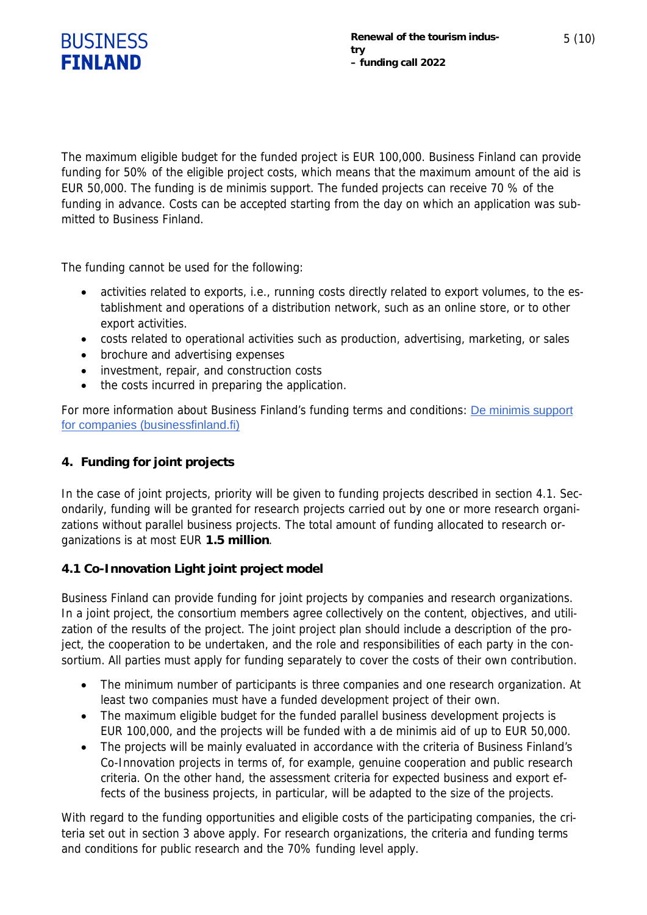

The maximum eligible budget for the funded project is EUR 100,000. Business Finland can provide funding for 50% of the eligible project costs, which means that the maximum amount of the aid is EUR 50,000. The funding is de minimis support. The funded projects can receive 70 % of the funding in advance. Costs can be accepted starting from the day on which an application was submitted to Business Finland.

The funding cannot be used for the following:

- activities related to exports, i.e., running costs directly related to export volumes, to the establishment and operations of a distribution network, such as an online store, or to other export activities.
- costs related to operational activities such as production, advertising, marketing, or sales
- brochure and advertising expenses
- investment, repair, and construction costs
- the costs incurred in preparing the application.

For more information about Business Finland's funding terms and conditions: De minimis support for companies (businessfinland.fi)

#### **4. Funding for joint projects**

In the case of joint projects, priority will be given to funding projects described in section 4.1. Secondarily, funding will be granted for research projects carried out by one or more research organizations without parallel business projects. The total amount of funding allocated to research organizations is at most EUR **1.5 million**.

#### **4.1 Co-Innovation Light joint project model**

Business Finland can provide funding for joint projects by companies and research organizations. In a joint project, the consortium members agree collectively on the content, objectives, and utilization of the results of the project. The joint project plan should include a description of the project, the cooperation to be undertaken, and the role and responsibilities of each party in the consortium. All parties must apply for funding separately to cover the costs of their own contribution.

- The minimum number of participants is three companies and one research organization. At least two companies must have a funded development project of their own.
- The maximum eligible budget for the funded parallel business development projects is EUR 100,000, and the projects will be funded with a de minimis aid of up to EUR 50,000.
- The projects will be mainly evaluated in accordance with the criteria of Business Finland's Co-Innovation projects in terms of, for example, genuine cooperation and public research criteria. On the other hand, the assessment criteria for expected business and export effects of the business projects, in particular, will be adapted to the size of the projects.

With regard to the funding opportunities and eligible costs of the participating companies, the criteria set out in section 3 above apply. For research organizations, the criteria and funding terms and conditions for public research and the 70% funding level apply.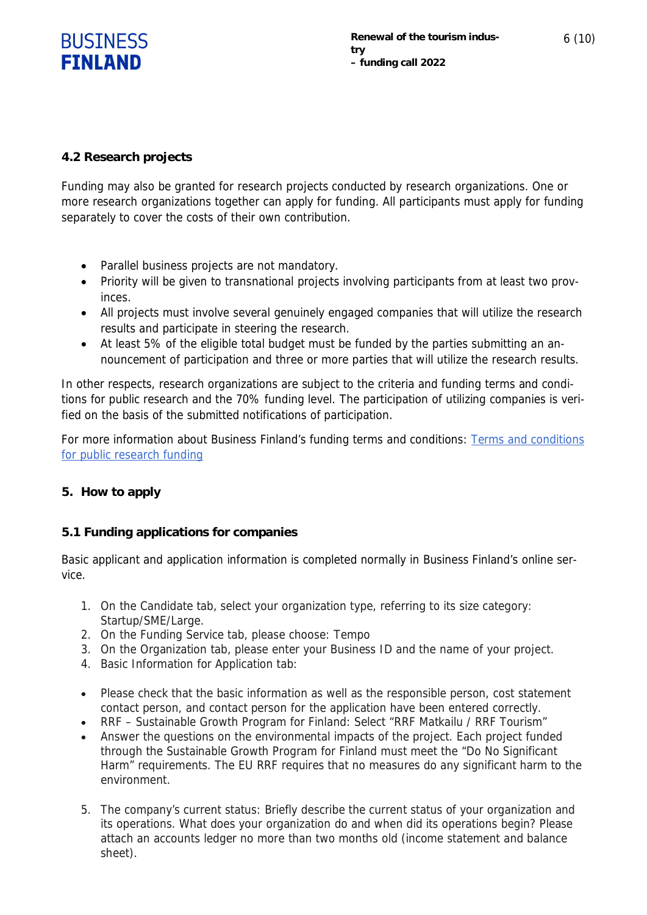

#### **4.2 Research projects**

Funding may also be granted for research projects conducted by research organizations. One or more research organizations together can apply for funding. All participants must apply for funding separately to cover the costs of their own contribution.

- Parallel business projects are not mandatory.
- Priority will be given to transnational projects involving participants from at least two provinces.
- All projects must involve several genuinely engaged companies that will utilize the research results and participate in steering the research.
- At least 5% of the eligible total budget must be funded by the parties submitting an announcement of participation and three or more parties that will utilize the research results.

In other respects, research organizations are subject to the criteria and funding terms and conditions for public research and the 70% funding level. The participation of utilizing companies is verified on the basis of the submitted notifications of participation.

For more information about Business Finland's funding terms and conditions: Terms and conditions for public research funding

#### **5. How to apply**

#### **5.1 Funding applications for companies**

Basic applicant and application information is completed normally in Business Finland's online service.

- 1. On the Candidate tab, select your organization type, referring to its size category: Startup/SME/Large.
- 2. On the Funding Service tab, please choose: Tempo
- 3. On the Organization tab, please enter your Business ID and the name of your project.
- 4. Basic Information for Application tab:
- Please check that the basic information as well as the responsible person, cost statement contact person, and contact person for the application have been entered correctly.
- RRF Sustainable Growth Program for Finland: Select "RRF Matkailu / RRF Tourism"
- Answer the questions on the environmental impacts of the project. Each project funded through the Sustainable Growth Program for Finland must meet the "Do No Significant Harm" requirements. The EU RRF requires that no measures do any significant harm to the environment.
- 5. The company's current status: Briefly describe the current status of your organization and its operations. What does your organization do and when did its operations begin? Please attach an accounts ledger no more than two months old (income statement and balance sheet).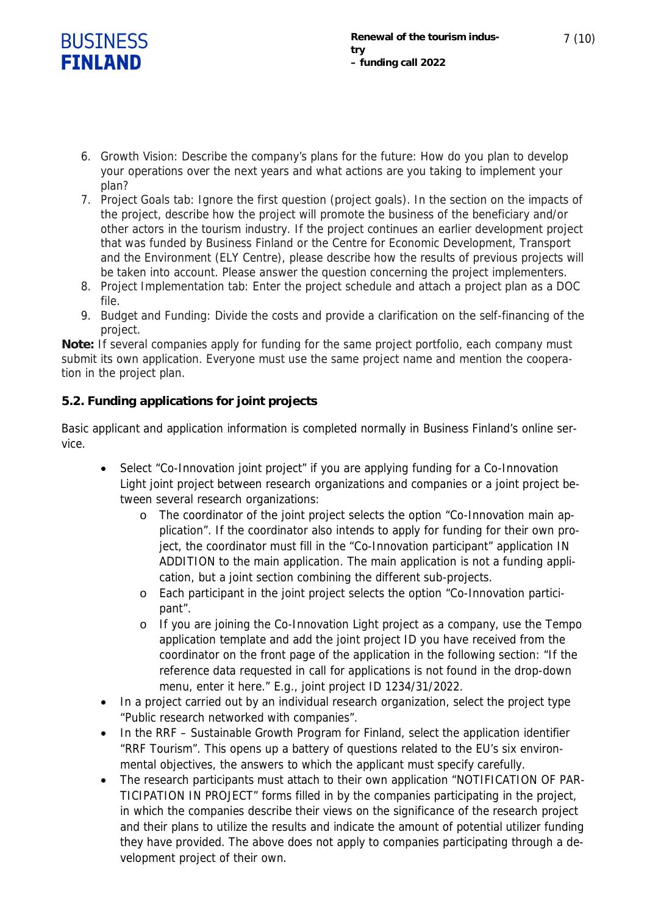

7 (10)

- 6. Growth Vision: Describe the company's plans for the future: How do you plan to develop your operations over the next years and what actions are you taking to implement your plan?
- 7. Project Goals tab: Ignore the first question (project goals). In the section on the impacts of the project, describe how the project will promote the business of the beneficiary and/or other actors in the tourism industry. If the project continues an earlier development project that was funded by Business Finland or the Centre for Economic Development, Transport and the Environment (ELY Centre), please describe how the results of previous projects will be taken into account. Please answer the question concerning the project implementers.
- 8. Project Implementation tab: Enter the project schedule and attach a project plan as a DOC file.
- 9. Budget and Funding: Divide the costs and provide a clarification on the self-financing of the project.

**Note:** If several companies apply for funding for the same project portfolio, each company must submit its own application. Everyone must use the same project name and mention the cooperation in the project plan.

## **5.2. Funding applications for joint projects**

Basic applicant and application information is completed normally in Business Finland's online service.

- Select "Co-Innovation joint project" if you are applying funding for a Co-Innovation Light joint project between research organizations and companies or a joint project between several research organizations:
	- o The coordinator of the joint project selects the option "Co-Innovation main application". If the coordinator also intends to apply for funding for their own project, the coordinator must fill in the "Co-Innovation participant" application IN ADDITION to the main application. The main application is not a funding application, but a joint section combining the different sub-projects.
	- o Each participant in the joint project selects the option "Co-Innovation participant".
	- o If you are joining the Co-Innovation Light project as a company, use the Tempo application template and add the joint project ID you have received from the coordinator on the front page of the application in the following section: "If the reference data requested in call for applications is not found in the drop-down menu, enter it here." E.g., joint project ID 1234/31/2022.
- In a project carried out by an individual research organization, select the project type "Public research networked with companies".
- In the RRF Sustainable Growth Program for Finland, select the application identifier "RRF Tourism". This opens up a battery of questions related to the EU's six environmental objectives, the answers to which the applicant must specify carefully.
- The research participants must attach to their own application "NOTIFICATION OF PAR-TICIPATION IN PROJECT" forms filled in by the companies participating in the project, in which the companies describe their views on the significance of the research project and their plans to utilize the results and indicate the amount of potential utilizer funding they have provided. The above does not apply to companies participating through a development project of their own.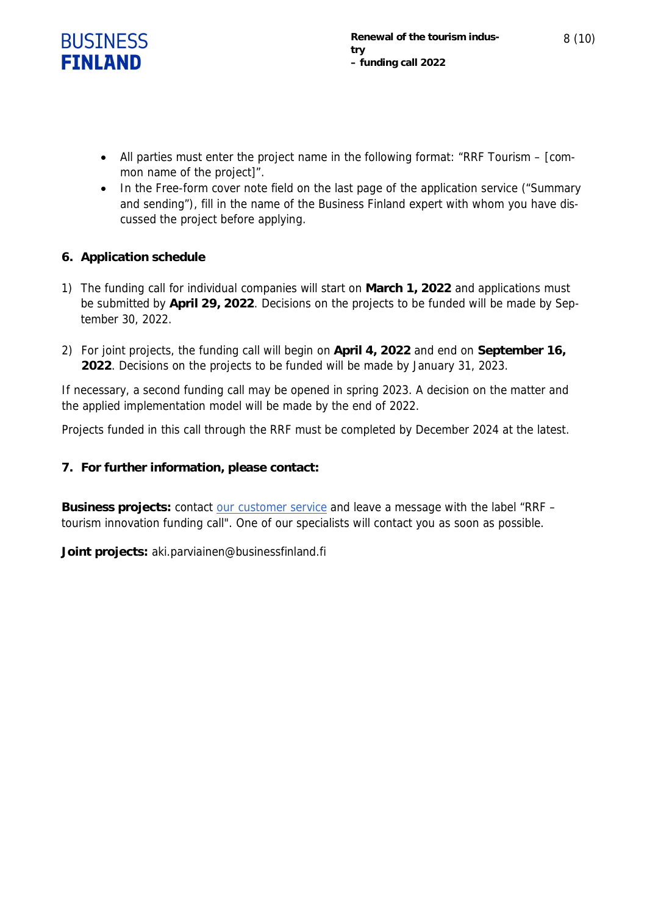

- All parties must enter the project name in the following format: "RRF Tourism [common name of the project]".
- In the Free-form cover note field on the last page of the application service ("Summary and sending"), fill in the name of the Business Finland expert with whom you have discussed the project before applying.
- **6. Application schedule**
- 1) The funding call for individual companies will start on **March 1, 2022** and applications must be submitted by **April 29, 2022**. Decisions on the projects to be funded will be made by September 30, 2022.
- 2) For joint projects, the funding call will begin on **April 4, 2022** and end on **September 16, 2022**. Decisions on the projects to be funded will be made by January 31, 2023.

If necessary, a second funding call may be opened in spring 2023. A decision on the matter and the applied implementation model will be made by the end of 2022.

Projects funded in this call through the RRF must be completed by December 2024 at the latest.

**7. For further information, please contact:**

**Business projects:** contact our customer service and leave a message with the label "RRF – tourism innovation funding call". One of our specialists will contact you as soon as possible.

**Joint projects:** aki.parviainen@businessfinland.fi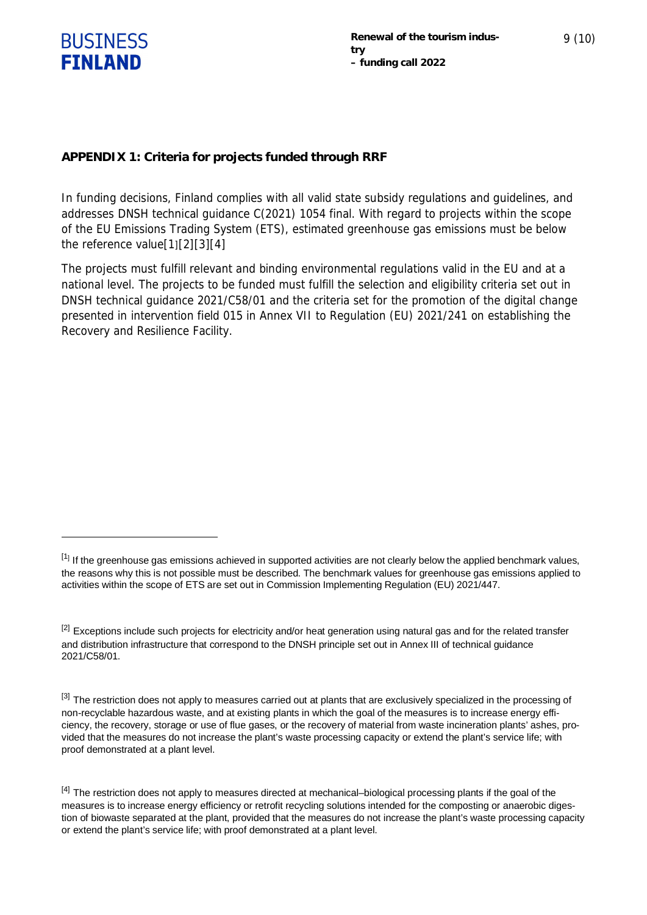

**APPENDIX 1: Criteria for projects funded through RRF**

In funding decisions, Finland complies with all valid state subsidy regulations and guidelines, and addresses DNSH technical guidance C(2021) 1054 final. With regard to projects within the scope of the EU Emissions Trading System (ETS), estimated greenhouse gas emissions must be below the reference value[1][2][3][4]

The projects must fulfill relevant and binding environmental regulations valid in the EU and at a national level. The projects to be funded must fulfill the selection and eligibility criteria set out in DNSH technical guidance 2021/C58/01 and the criteria set for the promotion of the digital change presented in intervention field 015 in Annex VII to Regulation (EU) 2021/241 on establishing the Recovery and Resilience Facility.

 $^{[1]}$  If the greenhouse gas emissions achieved in supported activities are not clearly below the applied benchmark values, the reasons why this is not possible must be described. The benchmark values for greenhouse gas emissions applied to activities within the scope of ETS are set out in Commission Implementing Regulation (EU) 2021/447.

<sup>&</sup>lt;sup>[2]</sup> Exceptions include such projects for electricity and/or heat generation using natural gas and for the related transfer and distribution infrastructure that correspond to the DNSH principle set out in Annex III of technical guidance 2021/C58/01.

<sup>[3]</sup> The restriction does not apply to measures carried out at plants that are exclusively specialized in the processing of non-recyclable hazardous waste, and at existing plants in which the goal of the measures is to increase energy efficiency, the recovery, storage or use of flue gases, or the recovery of material from waste incineration plants' ashes, provided that the measures do not increase the plant's waste processing capacity or extend the plant's service life; with proof demonstrated at a plant level.

<sup>[4]</sup> The restriction does not apply to measures directed at mechanical–biological processing plants if the goal of the measures is to increase energy efficiency or retrofit recycling solutions intended for the composting or anaerobic digestion of biowaste separated at the plant, provided that the measures do not increase the plant's waste processing capacity or extend the plant's service life; with proof demonstrated at a plant level.